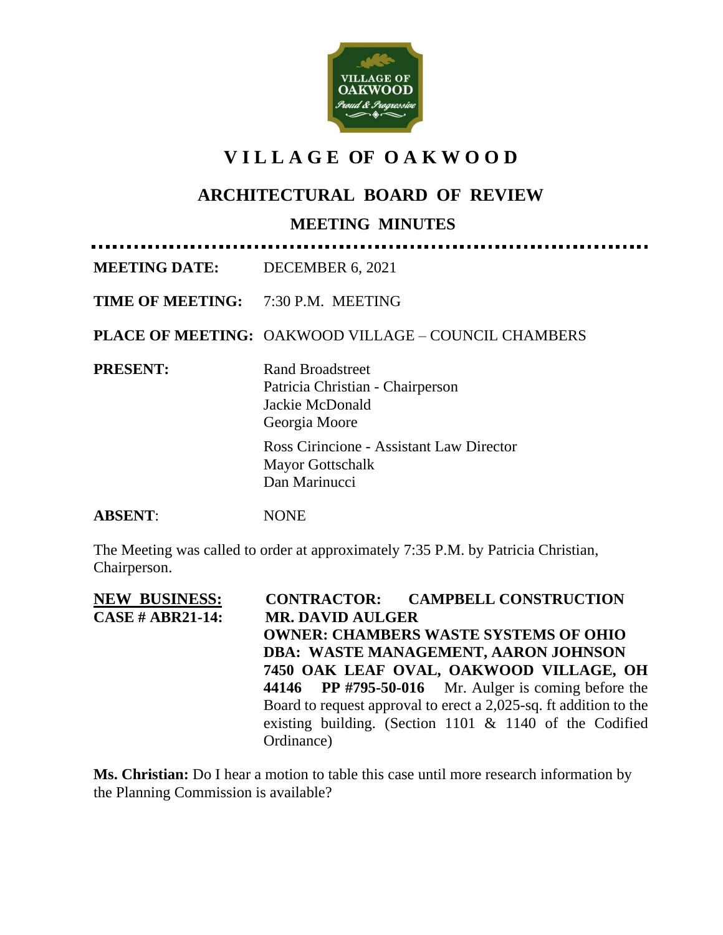

## **V I L L A G E OF O A K W O O D**

## **ARCHITECTURAL BOARD OF REVIEW**

## **MEETING MINUTES**

**MEETING DATE:** DECEMBER 6, 2021

**TIME OF MEETING:** 7:30 P.M. MEETING

**PLACE OF MEETING:** OAKWOOD VILLAGE – COUNCIL CHAMBERS

**PRESENT:** Rand Broadstreet

Patricia Christian - Chairperson Jackie McDonald Georgia Moore

Ross Cirincione - Assistant Law Director Mayor Gottschalk Dan Marinucci

**ABSENT**: NONE

The Meeting was called to order at approximately 7:35 P.M. by Patricia Christian, Chairperson.

**NEW BUSINESS:****CONTRACTOR: CAMPBELL CONSTRUCTION CASE # ABR21-14: MR. DAVID AULGER OWNER: CHAMBERS WASTE SYSTEMS OF OHIO DBA: WASTE MANAGEMENT, AARON JOHNSON 7450 OAK LEAF OVAL, OAKWOOD VILLAGE, OH 44146 PP #795-50-016** Mr. Aulger is coming before the Board to request approval to erect a 2,025-sq. ft addition to the existing building. (Section 1101 & 1140 of the Codified Ordinance)

**Ms. Christian:** Do I hear a motion to table this case until more research information by the Planning Commission is available?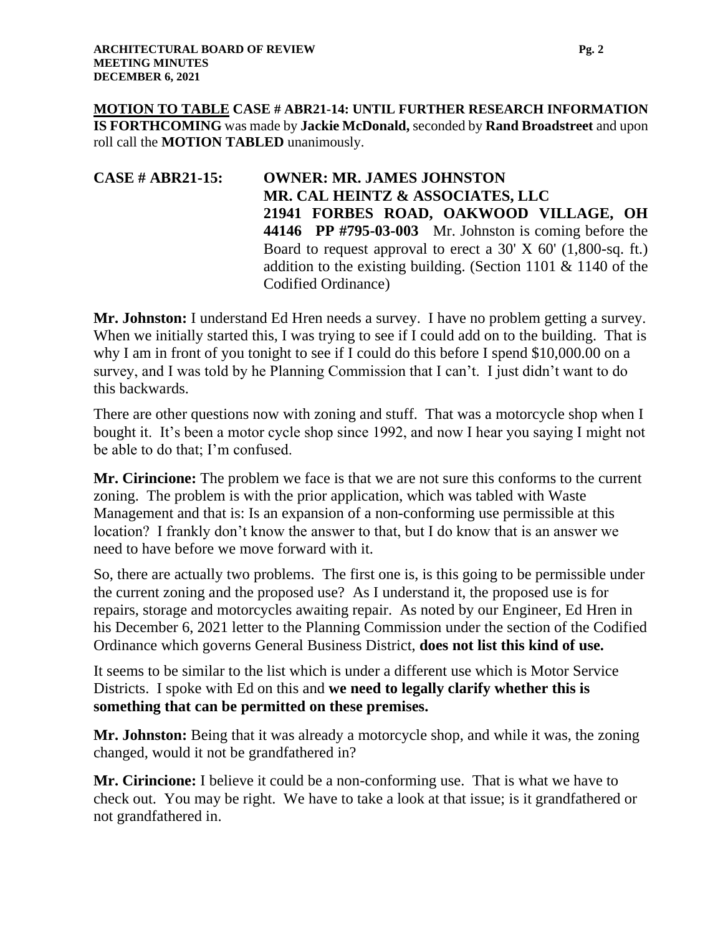**MOTION TO TABLE CASE # ABR21-14: UNTIL FURTHER RESEARCH INFORMATION IS FORTHCOMING** was made by **Jackie McDonald,** seconded by **Rand Broadstreet** and upon roll call the **MOTION TABLED** unanimously.

**CASE # ABR21-15: OWNER: MR. JAMES JOHNSTON MR. CAL HEINTZ & ASSOCIATES, LLC 21941 FORBES ROAD, OAKWOOD VILLAGE, OH 44146 PP #795-03-003** Mr. Johnston is coming before the Board to request approval to erect a  $30'$  X  $60'$  (1,800-sq. ft.) addition to the existing building. (Section 1101 & 1140 of the Codified Ordinance)

**Mr. Johnston:** I understand Ed Hren needs a survey. I have no problem getting a survey. When we initially started this, I was trying to see if I could add on to the building. That is why I am in front of you tonight to see if I could do this before I spend \$10,000.00 on a survey, and I was told by he Planning Commission that I can't. I just didn't want to do this backwards.

There are other questions now with zoning and stuff. That was a motorcycle shop when I bought it. It's been a motor cycle shop since 1992, and now I hear you saying I might not be able to do that; I'm confused.

**Mr. Cirincione:** The problem we face is that we are not sure this conforms to the current zoning. The problem is with the prior application, which was tabled with Waste Management and that is: Is an expansion of a non-conforming use permissible at this location? I frankly don't know the answer to that, but I do know that is an answer we need to have before we move forward with it.

So, there are actually two problems. The first one is, is this going to be permissible under the current zoning and the proposed use? As I understand it, the proposed use is for repairs, storage and motorcycles awaiting repair. As noted by our Engineer, Ed Hren in his December 6, 2021 letter to the Planning Commission under the section of the Codified Ordinance which governs General Business District, **does not list this kind of use.**

It seems to be similar to the list which is under a different use which is Motor Service Districts. I spoke with Ed on this and **we need to legally clarify whether this is something that can be permitted on these premises.**

**Mr. Johnston:** Being that it was already a motorcycle shop, and while it was, the zoning changed, would it not be grandfathered in?

**Mr. Cirincione:** I believe it could be a non-conforming use. That is what we have to check out. You may be right. We have to take a look at that issue; is it grandfathered or not grandfathered in.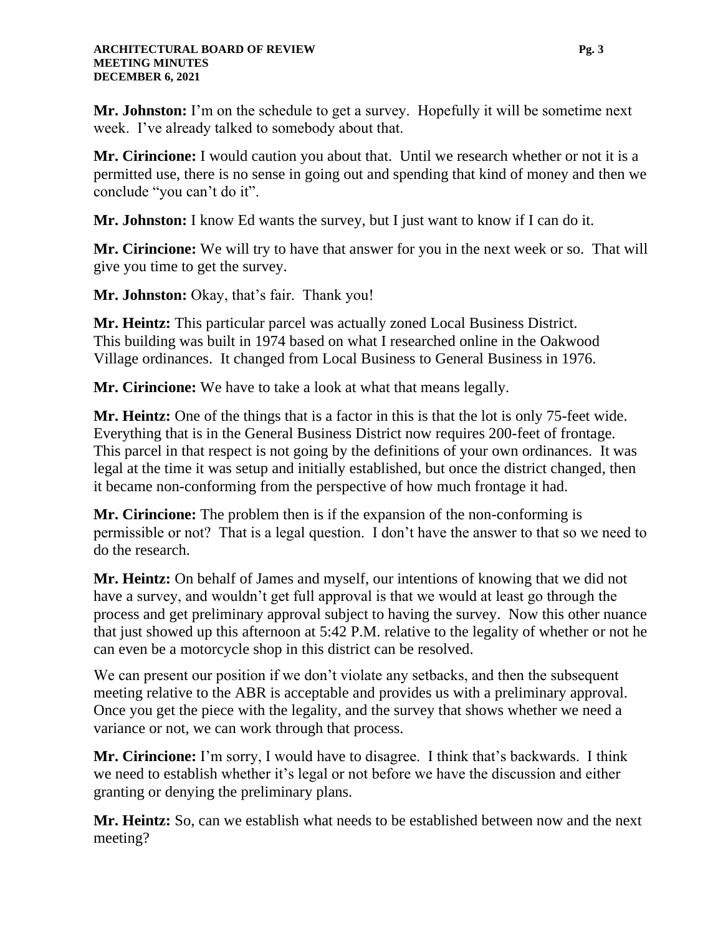**Mr. Johnston:** I'm on the schedule to get a survey. Hopefully it will be sometime next week. I've already talked to somebody about that.

**Mr. Cirincione:** I would caution you about that. Until we research whether or not it is a permitted use, there is no sense in going out and spending that kind of money and then we conclude "you can't do it".

**Mr. Johnston:** I know Ed wants the survey, but I just want to know if I can do it.

**Mr. Cirincione:** We will try to have that answer for you in the next week or so. That will give you time to get the survey.

**Mr. Johnston:** Okay, that's fair. Thank you!

**Mr. Heintz:** This particular parcel was actually zoned Local Business District. This building was built in 1974 based on what I researched online in the Oakwood Village ordinances. It changed from Local Business to General Business in 1976.

**Mr. Cirincione:** We have to take a look at what that means legally.

**Mr. Heintz:** One of the things that is a factor in this is that the lot is only 75-feet wide. Everything that is in the General Business District now requires 200-feet of frontage. This parcel in that respect is not going by the definitions of your own ordinances. It was legal at the time it was setup and initially established, but once the district changed, then it became non-conforming from the perspective of how much frontage it had.

**Mr. Cirincione:** The problem then is if the expansion of the non-conforming is permissible or not? That is a legal question. I don't have the answer to that so we need to do the research.

**Mr. Heintz:** On behalf of James and myself, our intentions of knowing that we did not have a survey, and wouldn't get full approval is that we would at least go through the process and get preliminary approval subject to having the survey. Now this other nuance that just showed up this afternoon at 5:42 P.M. relative to the legality of whether or not he can even be a motorcycle shop in this district can be resolved.

We can present our position if we don't violate any setbacks, and then the subsequent meeting relative to the ABR is acceptable and provides us with a preliminary approval. Once you get the piece with the legality, and the survey that shows whether we need a variance or not, we can work through that process.

**Mr. Cirincione:** I'm sorry, I would have to disagree. I think that's backwards. I think we need to establish whether it's legal or not before we have the discussion and either granting or denying the preliminary plans.

**Mr. Heintz:** So, can we establish what needs to be established between now and the next meeting?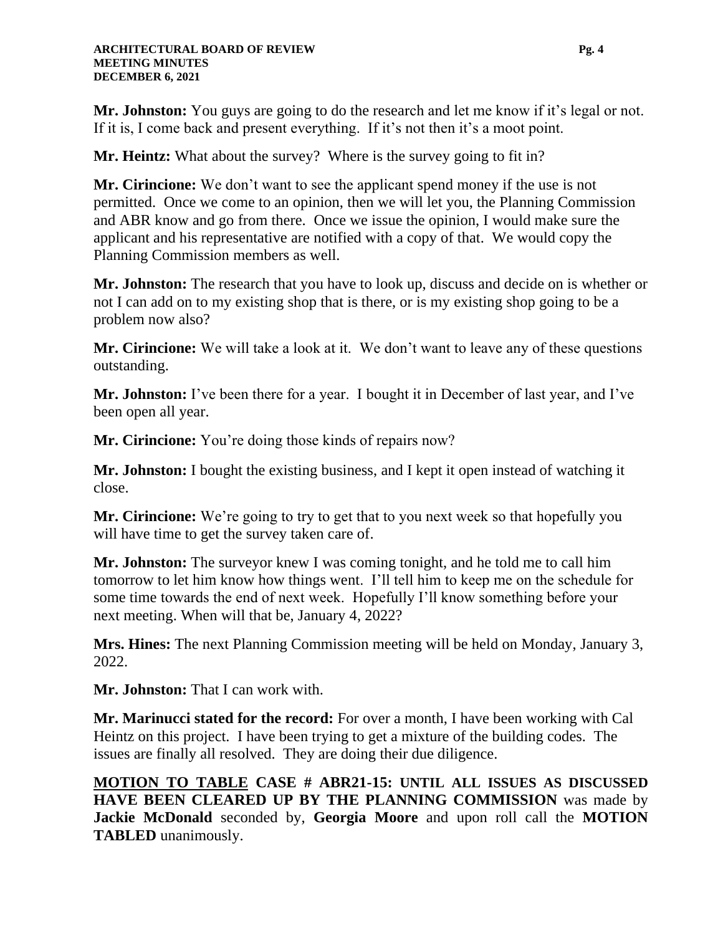**Mr. Johnston:** You guys are going to do the research and let me know if it's legal or not. If it is, I come back and present everything. If it's not then it's a moot point.

**Mr. Heintz:** What about the survey? Where is the survey going to fit in?

**Mr. Cirincione:** We don't want to see the applicant spend money if the use is not permitted. Once we come to an opinion, then we will let you, the Planning Commission and ABR know and go from there. Once we issue the opinion, I would make sure the applicant and his representative are notified with a copy of that. We would copy the Planning Commission members as well.

**Mr. Johnston:** The research that you have to look up, discuss and decide on is whether or not I can add on to my existing shop that is there, or is my existing shop going to be a problem now also?

**Mr. Cirincione:** We will take a look at it. We don't want to leave any of these questions outstanding.

**Mr. Johnston:** I've been there for a year. I bought it in December of last year, and I've been open all year.

**Mr. Cirincione:** You're doing those kinds of repairs now?

**Mr. Johnston:** I bought the existing business, and I kept it open instead of watching it close.

**Mr. Cirincione:** We're going to try to get that to you next week so that hopefully you will have time to get the survey taken care of.

**Mr. Johnston:** The surveyor knew I was coming tonight, and he told me to call him tomorrow to let him know how things went. I'll tell him to keep me on the schedule for some time towards the end of next week. Hopefully I'll know something before your next meeting. When will that be, January 4, 2022?

**Mrs. Hines:** The next Planning Commission meeting will be held on Monday, January 3, 2022.

**Mr. Johnston:** That I can work with.

**Mr. Marinucci stated for the record:** For over a month, I have been working with Cal Heintz on this project. I have been trying to get a mixture of the building codes. The issues are finally all resolved. They are doing their due diligence.

**MOTION TO TABLE CASE # ABR21-15: UNTIL ALL ISSUES AS DISCUSSED HAVE BEEN CLEARED UP BY THE PLANNING COMMISSION** was made by **Jackie McDonald** seconded by, **Georgia Moore** and upon roll call the **MOTION TABLED** unanimously.